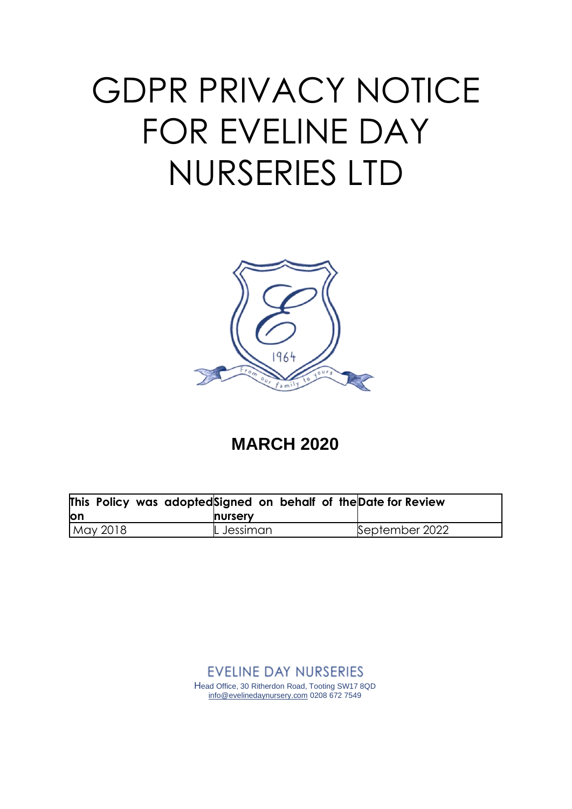# GDPR PRIVACY NOTICE FOR EVELINE DAY NURSERIES LTD



# **MARCH 2020**

| This Policy was adoptedSigned on behalf of the Date for Review |                |                |
|----------------------------------------------------------------|----------------|----------------|
| lon                                                            | <b>nursery</b> |                |
| May 2018                                                       | $L$ Jessiman   | September 2022 |

**EVELINE DAY NURSERIES** Head Office, 30 Ritherdon Road, Tooting SW17 8QD [info@evelinedaynursery.com](mailto:info@evelinedaynursery.com) 0208 672 7549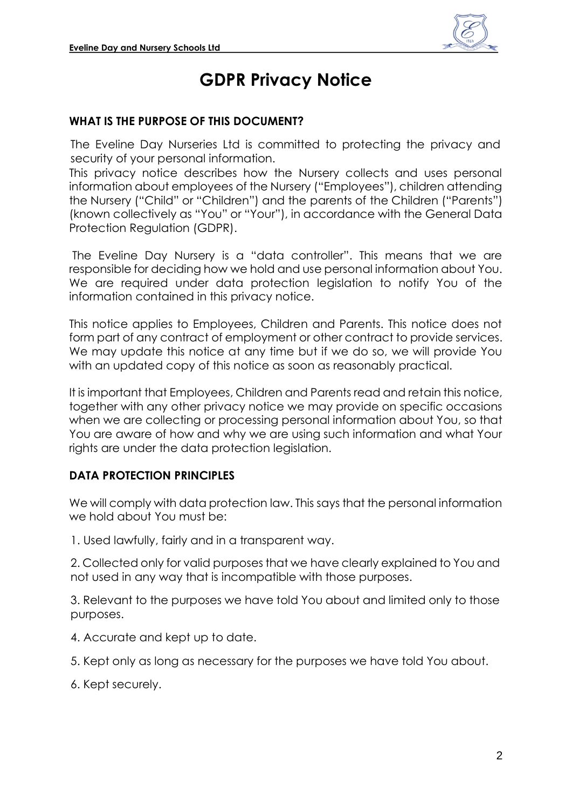

# **GDPR Privacy Notice**

#### **WHAT IS THE PURPOSE OF THIS DOCUMENT?**

The Eveline Day Nurseries Ltd is committed to protecting the privacy and security of your personal information.

This privacy notice describes how the Nursery collects and uses personal information about employees of the Nursery ("Employees"), children attending the Nursery ("Child" or "Children") and the parents of the Children ("Parents") (known collectively as "You" or "Your"), in accordance with the General Data Protection Regulation (GDPR).

The Eveline Day Nursery is a "data controller". This means that we are responsible for deciding how we hold and use personal information about You. We are required under data protection legislation to notify You of the information contained in this privacy notice.

This notice applies to Employees, Children and Parents. This notice does not form part of any contract of employment or other contract to provide services. We may update this notice at any time but if we do so, we will provide You with an updated copy of this notice as soon as reasonably practical.

It is important that Employees, Children and Parents read and retain this notice, together with any other privacy notice we may provide on specific occasions when we are collecting or processing personal information about You, so that You are aware of how and why we are using such information and what Your rights are under the data protection legislation.

# <span id="page-1-0"></span>**DATA PROTECTION PRINCIPLES**

We will comply with data protection law. This says that the personal information we hold about You must be:

1. Used lawfully, fairly and in a transparent way.

2. Collected only for valid purposes that we have clearly explained to You and not used in any way that is incompatible with those purposes.

3. Relevant to the purposes we have told You about and limited only to those purposes.

- 4. Accurate and kept up to date.
- 5. Kept only as long as necessary for the purposes we have told You about.
- 6. Kept securely.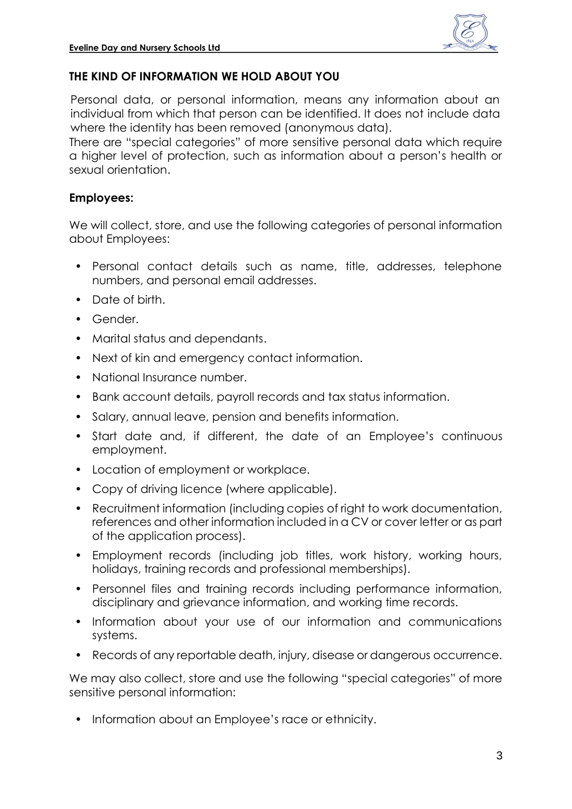

# **THE KIND OF INFORMATION WE HOLD ABOUT YOU**

Personal data, or personal information, means any information about an individual from which that person can be identified. It does not include data where the identity has been removed (anonymous data).

There are "special categories" of more sensitive personal data which require a higher level of protection, such as information about a person's health or sexual orientation.

#### **Employees:**

We will collect, store, and use the following categories of personal information about Employees:

- Personal contact details such as name, title, addresses, telephone numbers, and personal email addresses.
- Date of birth.
- Gender.
- Marital status and dependants.
- Next of kin and emergency contact information.
- National Insurance number.
- Bank account details, payroll records and tax status information.
- Salary, annual leave, pension and benefits information.
- Start date and, if different, the date of an Employee's continuous employment.
- Location of employment or workplace.
- Copy of driving licence (where applicable).
- Recruitment information (including copies of right to work documentation, references and other information included in a CV or cover letter or as part of the application process).
- Employment records (including job titles, work history, working hours, holidays, training records and professional memberships).
- Personnel files and training records including performance information, disciplinary and grievance information, and working time records.
- Information about your use of our information and communications systems.
- Records of any reportable death, injury, disease or dangerous occurrence.

We may also collect, store and use the following "special categories" of more sensitive personal information:

• Information about an Employee's race or ethnicity.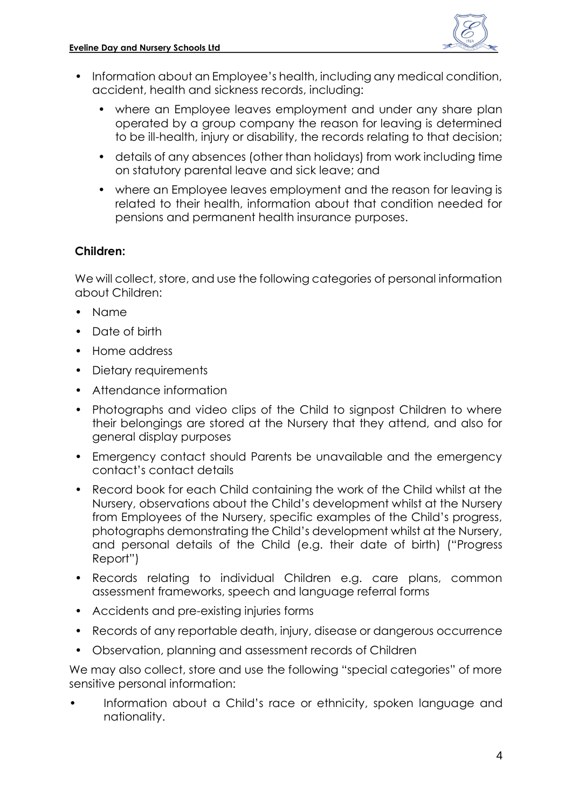

- Information about an Employee's health, including any medical condition, accident, health and sickness records, including:
	- where an Employee leaves employment and under any share plan operated by a group company the reason for leaving is determined to be ill-health, injury or disability, the records relating to that decision;
	- details of any absences (other than holidays) from work including time on statutory parental leave and sick leave; and
	- where an Employee leaves employment and the reason for leaving is related to their health, information about that condition needed for pensions and permanent health insurance purposes.

#### **Children:**

We will collect, store, and use the following categories of personal information about Children:

- Name
- Date of birth
- Home address
- Dietary requirements
- Attendance information
- Photographs and video clips of the Child to signpost Children to where their belongings are stored at the Nursery that they attend, and also for general display purposes
- Emergency contact should Parents be unavailable and the emergency contact's contact details
- Record book for each Child containing the work of the Child whilst at the Nursery, observations about the Child's development whilst at the Nursery from Employees of the Nursery, specific examples of the Child's progress, photographs demonstrating the Child's development whilst at the Nursery, and personal details of the Child (e.g. their date of birth) ("Progress Report")
- Records relating to individual Children e.g. care plans, common assessment frameworks, speech and language referral forms
- Accidents and pre-existing injuries forms
- Records of any reportable death, injury, disease or dangerous occurrence
- Observation, planning and assessment records of Children

We may also collect, store and use the following "special categories" of more sensitive personal information:

• Information about a Child's race or ethnicity, spoken language and nationality.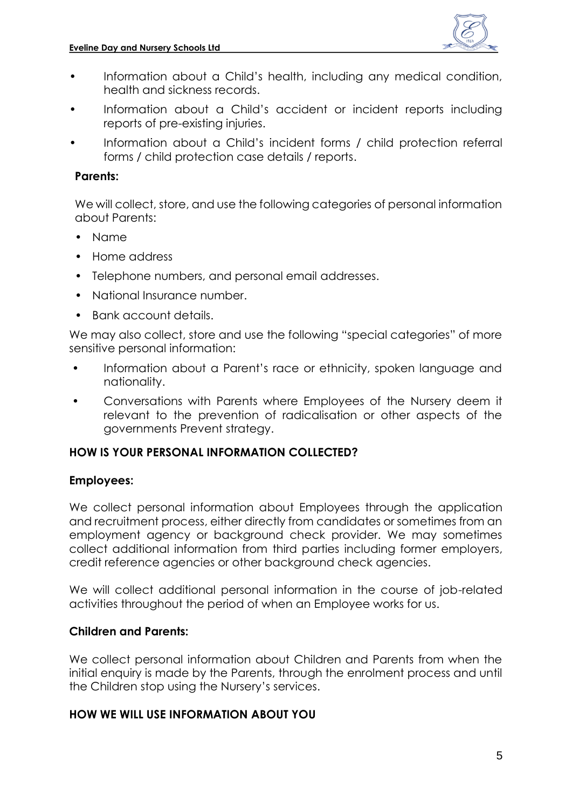

- Information about a Child's health, including any medical condition, health and sickness records.
- Information about a Child's accident or incident reports including reports of pre-existing injuries.
- Information about a Child's incident forms / child protection referral forms / child protection case details / reports.

## **Parents:**

We will collect, store, and use the following categories of personal information about Parents:

- Name
- Home address
- Telephone numbers, and personal email addresses.
- National Insurance number.
- Bank account details.

We may also collect, store and use the following "special categories" of more sensitive personal information:

- Information about a Parent's race or ethnicity, spoken language and nationality.
- Conversations with Parents where Employees of the Nursery deem it relevant to the prevention of radicalisation or other aspects of the governments Prevent strategy.

#### **HOW IS YOUR PERSONAL INFORMATION COLLECTED?**

#### **Employees:**

We collect personal information about Employees through the application and recruitment process, either directly from candidates or sometimes from an employment agency or background check provider. We may sometimes collect additional information from third parties including former employers, credit reference agencies or other background check agencies.

We will collect additional personal information in the course of job-related activities throughout the period of when an Employee works for us.

#### **Children and Parents:**

We collect personal information about Children and Parents from when the initial enquiry is made by the Parents, through the enrolment process and until the Children stop using the Nursery's services.

#### **HOW WE WILL USE INFORMATION ABOUT YOU**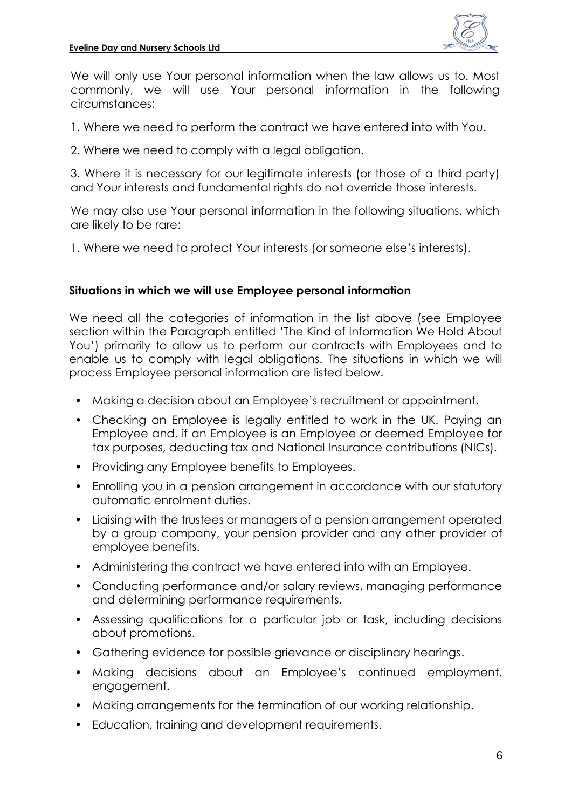

We will only use Your personal information when the law allows us to. Most commonly, we will use Your personal information in the following circumstances:

1. Where we need to perform the contract we have entered into with You.

2. Where we need to comply with a legal obligation.

3. Where it is necessary for our legitimate interests (or those of a third party) and Your interests and fundamental rights do not override those interests.

We may also use Your personal information in the following situations, which are likely to be rare:

1. Where we need to protect Your interests (or someone else's interests).

#### **Situations in which we will use Employee personal information**

We need all the categories of information in the list above (see Employee section within the [Paragraph](#page-1-0) entitled 'The Kind of Information We Hold About You') primarily to allow us to perform our contracts with Employees and to enable us to comply with legal obligations. The situations in which we will process Employee personal information are listed below.

- Making a decision about an Employee's recruitment or appointment.
- Checking an Employee is legally entitled to work in the UK. Paying an Employee and, if an Employee is an Employee or deemed Employee for tax purposes, deducting tax and National Insurance contributions (NICs).
- Providing any Employee benefits to Employees.
- Enrolling you in a pension arrangement in accordance with our statutory automatic enrolment duties.
- Liaising with the trustees or managers of a pension arrangement operated by a group company, your pension provider and any other provider of employee benefits.
- Administering the contract we have entered into with an Employee.
- Conducting performance and/or salary reviews, managing performance and determining performance requirements.
- Assessing qualifications for a particular job or task, including decisions about promotions.
- Gathering evidence for possible grievance or disciplinary hearings.
- Making decisions about an Employee's continued employment, engagement.
- Making arrangements for the termination of our working relationship.
- Education, training and development requirements.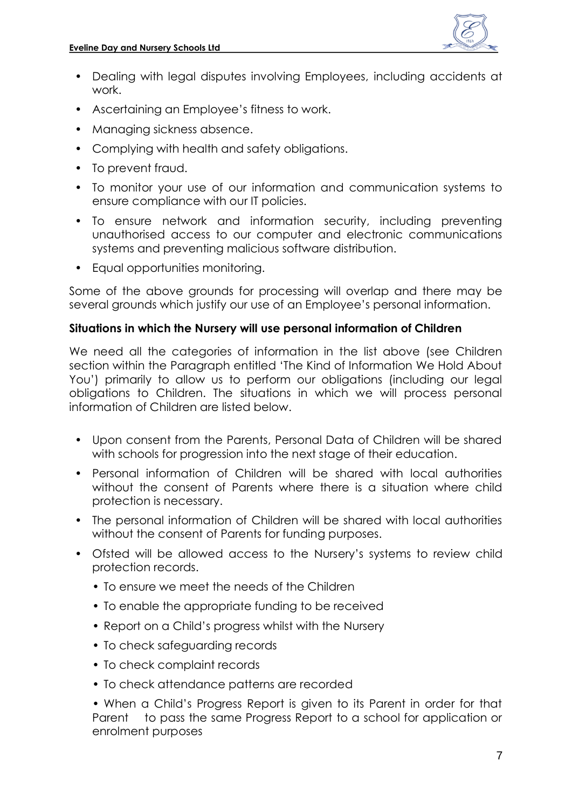

- Dealing with legal disputes involving Employees, including accidents at work.
- Ascertaining an Employee's fitness to work.
- Managing sickness absence.
- Complying with health and safety obligations.
- To prevent fraud.
- To monitor your use of our information and communication systems to ensure compliance with our IT policies.
- To ensure network and information security, including preventing unauthorised access to our computer and electronic communications systems and preventing malicious software distribution.
- Equal opportunities monitoring.

Some of the above grounds for processing will overlap and there may be several grounds which justify our use of an Employee's personal information.

#### **Situations in which the Nursery will use personal information of Children**

We need all the categories of information in the list above (see Children section within the Paragraph entitled 'The Kind of Information We Hold About You') primarily to allow us to perform our obligations (including our legal obligations to Children. The situations in which we will process personal information of Children are listed below.

- Upon consent from the Parents, Personal Data of Children will be shared with schools for progression into the next stage of their education.
- Personal information of Children will be shared with local authorities without the consent of Parents where there is a situation where child protection is necessary.
- The personal information of Children will be shared with local authorities without the consent of Parents for funding purposes.
- Ofsted will be allowed access to the Nursery's systems to review child protection records.
	- To ensure we meet the needs of the Children
	- To enable the appropriate funding to be received
	- Report on a Child's progress whilst with the Nursery
	- To check safeguarding records
	- To check complaint records
	- To check attendance patterns are recorded

• When a Child's Progress Report is given to its Parent in order for that Parent to pass the same Progress Report to a school for application or enrolment purposes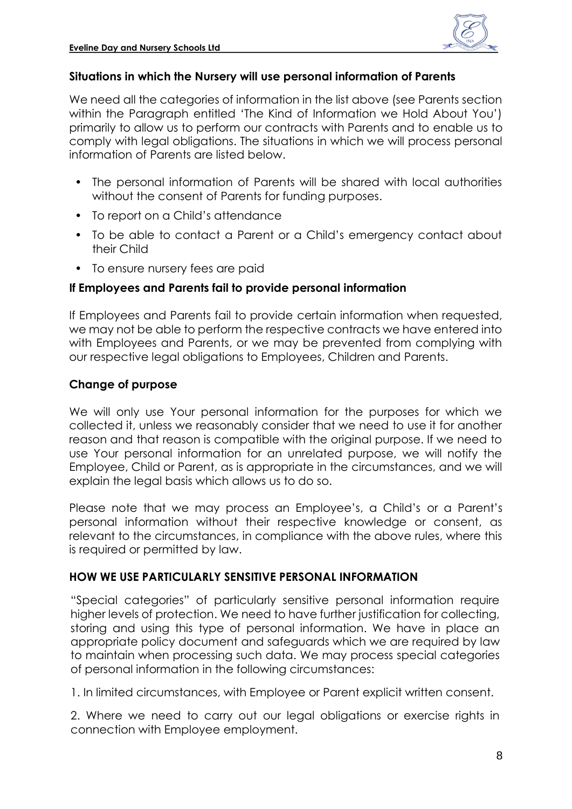

#### **Situations in which the Nursery will use personal information of Parents**

We need all the categories of information in the list above (see Parents section within the Paragraph entitled 'The Kind of Information we Hold About You') primarily to allow us to perform our contracts with Parents and to enable us to comply with legal obligations. The situations in which we will process personal information of Parents are listed below.

- The personal information of Parents will be shared with local authorities without the consent of Parents for funding purposes.
- To report on a Child's attendance
- To be able to contact a Parent or a Child's emergency contact about their Child
- To ensure nursery fees are paid

## **If Employees and Parents fail to provide personal information**

If Employees and Parents fail to provide certain information when requested, we may not be able to perform the respective contracts we have entered into with Employees and Parents, or we may be prevented from complying with our respective legal obligations to Employees, Children and Parents.

## **Change of purpose**

We will only use Your personal information for the purposes for which we collected it, unless we reasonably consider that we need to use it for another reason and that reason is compatible with the original purpose. If we need to use Your personal information for an unrelated purpose, we will notify the Employee, Child or Parent, as is appropriate in the circumstances, and we will explain the legal basis which allows us to do so.

Please note that we may process an Employee's, a Child's or a Parent's personal information without their respective knowledge or consent, as relevant to the circumstances, in compliance with the above rules, where this is required or permitted by law.

# **HOW WE USE PARTICULARLY SENSITIVE PERSONAL INFORMATION**

"Special categories" of particularly sensitive personal information require higher levels of protection. We need to have further justification for collecting, storing and using this type of personal information. We have in place an appropriate policy document and safeguards which we are required by law to maintain when processing such data. We may process special categories of personal information in the following circumstances:

1. In limited circumstances, with Employee or Parent explicit written consent.

2. Where we need to carry out our legal obligations or exercise rights in connection with Employee employment.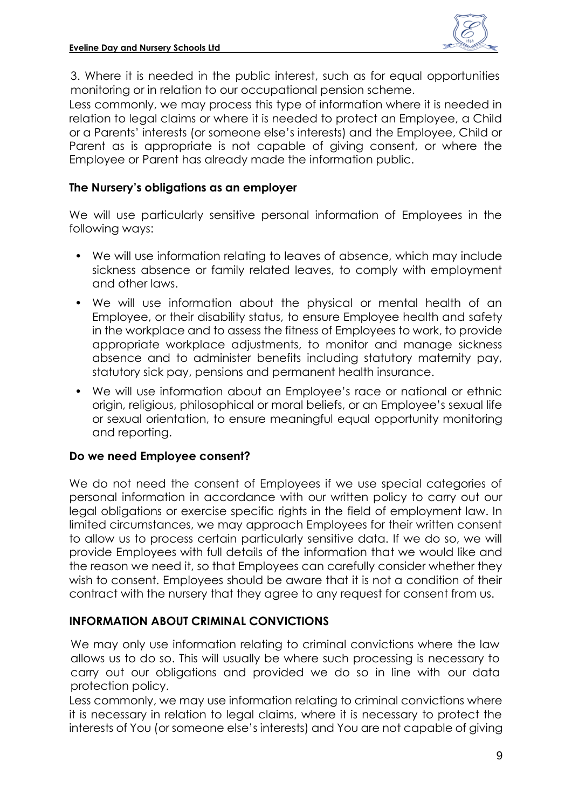

3. Where it is needed in the public interest, such as for equal opportunities monitoring or in relation to our occupational pension scheme.

Less commonly, we may process this type of information where it is needed in relation to legal claims or where it is needed to protect an Employee, a Child or a Parents' interests (or someone else's interests) and the Employee, Child or Parent as is appropriate is not capable of giving consent, or where the Employee or Parent has already made the information public.

#### **The Nursery's obligations as an employer**

We will use particularly sensitive personal information of Employees in the following ways:

- We will use information relating to leaves of absence, which may include sickness absence or family related leaves, to comply with employment and other laws.
- We will use information about the physical or mental health of an Employee, or their disability status, to ensure Employee health and safety in the workplace and to assess the fitness of Employees to work, to provide appropriate workplace adjustments, to monitor and manage sickness absence and to administer benefits including statutory maternity pay, statutory sick pay, pensions and permanent health insurance.
- We will use information about an Employee's race or national or ethnic origin, religious, philosophical or moral beliefs, or an Employee's sexual life or sexual orientation, to ensure meaningful equal opportunity monitoring and reporting.

#### **Do we need Employee consent?**

We do not need the consent of Employees if we use special categories of personal information in accordance with our written policy to carry out our legal obligations or exercise specific rights in the field of employment law. In limited circumstances, we may approach Employees for their written consent to allow us to process certain particularly sensitive data. If we do so, we will provide Employees with full details of the information that we would like and the reason we need it, so that Employees can carefully consider whether they wish to consent. Employees should be aware that it is not a condition of their contract with the nursery that they agree to any request for consent from us.

#### **INFORMATION ABOUT CRIMINAL CONVICTIONS**

We may only use information relating to criminal convictions where the law allows us to do so. This will usually be where such processing is necessary to carry out our obligations and provided we do so in line with our data protection policy.

Less commonly, we may use information relating to criminal convictions where it is necessary in relation to legal claims, where it is necessary to protect the interests of You (or someone else's interests) and You are not capable of giving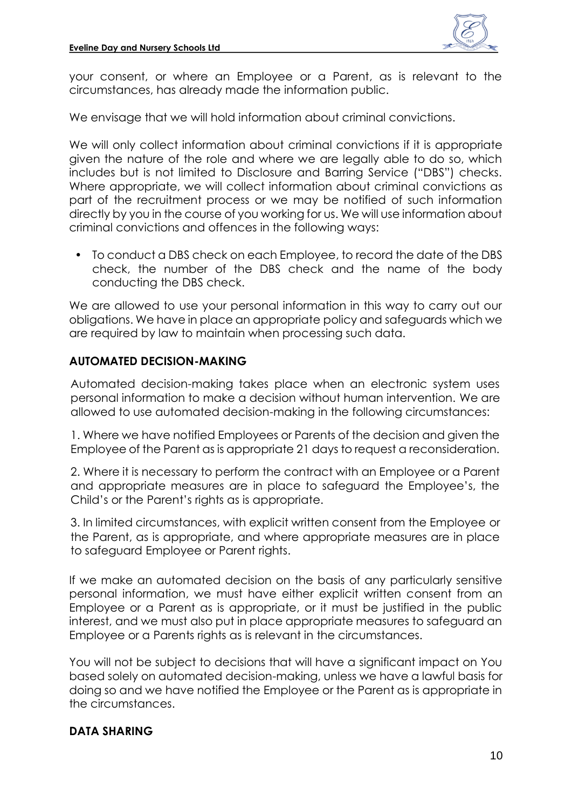

your consent, or where an Employee or a Parent, as is relevant to the circumstances, has already made the information public.

We envisage that we will hold information about criminal convictions.

We will only collect information about criminal convictions if it is appropriate given the nature of the role and where we are legally able to do so, which includes but is not limited to Disclosure and Barring Service ("DBS") checks. Where appropriate, we will collect information about criminal convictions as part of the recruitment process or we may be notified of such information directly by you in the course of you working for us. We will use information about criminal convictions and offences in the following ways:

• To conduct a DBS check on each Employee, to record the date of the DBS check, the number of the DBS check and the name of the body conducting the DBS check.

We are allowed to use your personal information in this way to carry out our obligations. We have in place an appropriate policy and safeguards which we are required by law to maintain when processing such data.

# **AUTOMATED DECISION-MAKING**

Automated decision-making takes place when an electronic system uses personal information to make a decision without human intervention. We are allowed to use automated decision-making in the following circumstances:

1. Where we have notified Employees or Parents of the decision and given the Employee of the Parent as is appropriate 21 days to request a reconsideration.

2. Where it is necessary to perform the contract with an Employee or a Parent and appropriate measures are in place to safeguard the Employee's, the Child's or the Parent's rights as is appropriate.

3. In limited circumstances, with explicit written consent from the Employee or the Parent, as is appropriate, and where appropriate measures are in place to safeguard Employee or Parent rights.

If we make an automated decision on the basis of any particularly sensitive personal information, we must have either explicit written consent from an Employee or a Parent as is appropriate, or it must be justified in the public interest, and we must also put in place appropriate measures to safeguard an Employee or a Parents rights as is relevant in the circumstances.

You will not be subject to decisions that will have a significant impact on You based solely on automated decision-making, unless we have a lawful basis for doing so and we have notified the Employee or the Parent as is appropriate in the circumstances.

# **DATA SHARING**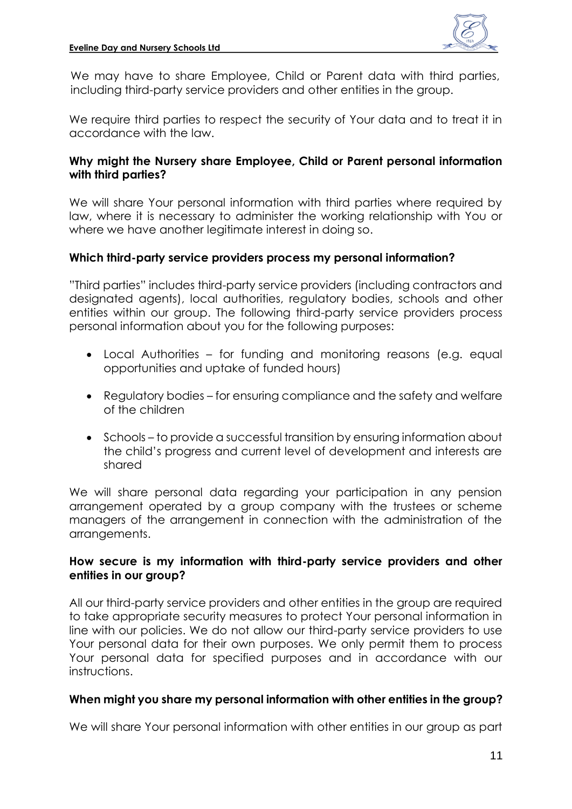

We may have to share Employee, Child or Parent data with third parties, including third-party service providers and other entities in the group.

We require third parties to respect the security of Your data and to treat it in accordance with the law.

#### **Why might the Nursery share Employee, Child or Parent personal information with third parties?**

We will share Your personal information with third parties where required by law, where it is necessary to administer the working relationship with You or where we have another legitimate interest in doing so.

#### **Which third-party service providers process my personal information?**

"Third parties" includes third-party service providers (including contractors and designated agents), local authorities, regulatory bodies, schools and other entities within our group. The following third-party service providers process personal information about you for the following purposes:

- Local Authorities for funding and monitoring reasons (e.g. equal opportunities and uptake of funded hours)
- Regulatory bodies for ensuring compliance and the safety and welfare of the children
- Schools to provide a successful transition by ensuring information about the child's progress and current level of development and interests are shared

We will share personal data regarding your participation in any pension arrangement operated by a group company with the trustees or scheme managers of the arrangement in connection with the administration of the arrangements.

#### **How secure is my information with third-party service providers and other entities in our group?**

All our third-party service providers and other entities in the group are required to take appropriate security measures to protect Your personal information in line with our policies. We do not allow our third-party service providers to use Your personal data for their own purposes. We only permit them to process Your personal data for specified purposes and in accordance with our instructions.

#### **When might you share my personal information with other entities in the group?**

We will share Your personal information with other entities in our group as part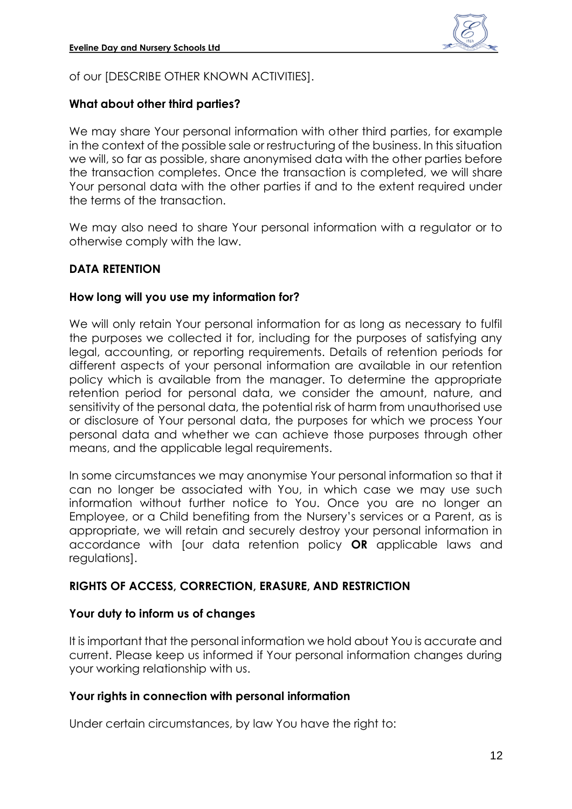

of our [DESCRIBE OTHER KNOWN ACTIVITIES].

#### **What about other third parties?**

We may share Your personal information with other third parties, for example in the context of the possible sale or restructuring of the business. In this situation we will, so far as possible, share anonymised data with the other parties before the transaction completes. Once the transaction is completed, we will share Your personal data with the other parties if and to the extent required under the terms of the transaction.

We may also need to share Your personal information with a regulator or to otherwise comply with the law.

#### **DATA RETENTION**

#### **How long will you use my information for?**

We will only retain Your personal information for as long as necessary to fulfil the purposes we collected it for, including for the purposes of satisfying any legal, accounting, or reporting requirements. Details of retention periods for different aspects of your personal information are available in our retention policy which is available from the manager. To determine the appropriate retention period for personal data, we consider the amount, nature, and sensitivity of the personal data, the potential risk of harm from unauthorised use or disclosure of Your personal data, the purposes for which we process Your personal data and whether we can achieve those purposes through other means, and the applicable legal requirements.

In some circumstances we may anonymise Your personal information so that it can no longer be associated with You, in which case we may use such information without further notice to You. Once you are no longer an Employee, or a Child benefiting from the Nursery's services or a Parent, as is appropriate, we will retain and securely destroy your personal information in accordance with [our data retention policy **OR** applicable laws and regulations].

#### **RIGHTS OF ACCESS, CORRECTION, ERASURE, AND RESTRICTION**

#### **Your duty to inform us of changes**

It is important that the personal information we hold about You is accurate and current. Please keep us informed if Your personal information changes during your working relationship with us.

#### **Your rights in connection with personal information**

Under certain circumstances, by law You have the right to: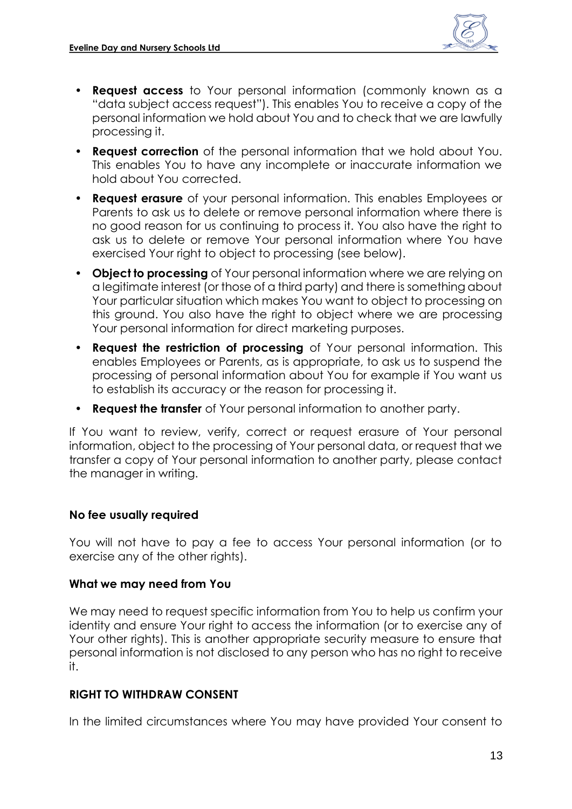

- **Request access** to Your personal information (commonly known as a "data subject access request"). This enables You to receive a copy of the personal information we hold about You and to check that we are lawfully processing it.
- **Request correction** of the personal information that we hold about You. This enables You to have any incomplete or inaccurate information we hold about You corrected.
- **Request erasure** of your personal information. This enables Employees or Parents to ask us to delete or remove personal information where there is no good reason for us continuing to process it. You also have the right to ask us to delete or remove Your personal information where You have exercised Your right to object to processing (see below).
- **Object to processing** of Your personal information where we are relying on a legitimate interest (or those of a third party) and there is something about Your particular situation which makes You want to object to processing on this ground. You also have the right to object where we are processing Your personal information for direct marketing purposes.
- **Request the restriction of processing** of Your personal information. This enables Employees or Parents, as is appropriate, to ask us to suspend the processing of personal information about You for example if You want us to establish its accuracy or the reason for processing it.
- **Request the transfer** of Your personal information to another party.

If You want to review, verify, correct or request erasure of Your personal information, object to the processing of Your personal data, or request that we transfer a copy of Your personal information to another party, please contact the manager in writing.

#### **No fee usually required**

You will not have to pay a fee to access Your personal information (or to exercise any of the other rights).

#### **What we may need from You**

We may need to request specific information from You to help us confirm your identity and ensure Your right to access the information (or to exercise any of Your other rights). This is another appropriate security measure to ensure that personal information is not disclosed to any person who has no right to receive it.

#### **RIGHT TO WITHDRAW CONSENT**

In the limited circumstances where You may have provided Your consent to